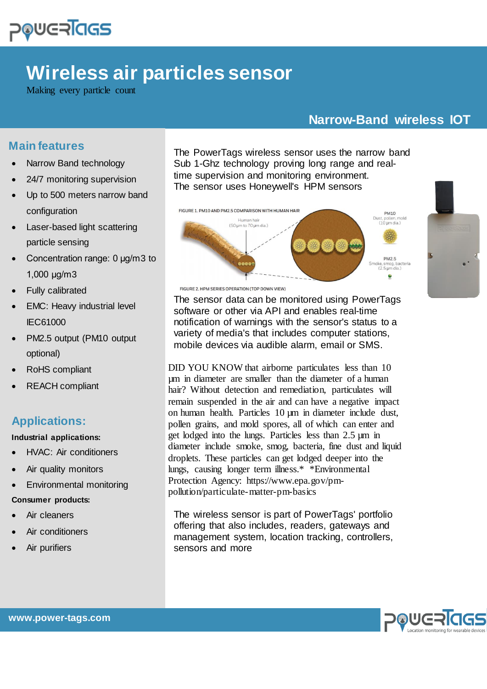

# **Wireless air particles sensor**

Making every particle count

## **Narrow-Band wireless IOT**

### **Main features**

- Narrow Band technology
- 24/7 monitoring supervision
- Up to 500 meters narrow band configuration
- Laser-based light scattering particle sensing
- Concentration range: 0 μg/m3 to 1,000 μg/m3
- Fully calibrated
- EMC: Heavy industrial level IEC61000
- PM2.5 output (PM10 output optional)
- RoHS compliant
- REACH compliant

## **Applications:**

#### **Industrial applications:**

- HVAC: Air conditioners
- Air quality monitors
- Environmental monitoring

#### **Consumer products:**

- Air cleaners
- Air conditioners
- Air purifiers

The PowerTags wireless sensor uses the narrow band Sub 1-Ghz technology proving long range and realtime supervision and monitoring environment. The sensor uses Honeywell's HPM sensors



FIGURE 2. HPM SERIES OPERATION (TOP DOWN VIEW)

The sensor data can be monitored using PowerTags software or other via API and enables real-time notification of warnings with the sensor's status to a variety of media's that includes computer stations, mobile devices via audible alarm, email or SMS.

DID YOU KNOW that airborne particulates less than 10 µm in diameter are smaller than the diameter of a human hair? Without detection and remediation, particulates will remain suspended in the air and can have a negative impact on human health. Particles 10 µm in diameter include dust, pollen grains, and mold spores, all of which can enter and get lodged into the lungs. Particles less than 2.5 µm in diameter include smoke, smog, bacteria, fine dust and liquid droplets. These particles can get lodged deeper into the lungs, causing longer term illness.\* \*Environmental Protection Agency: https://www.epa.gov/pmpollution/particulate-matter-pm-basics

The wireless sensor is part of PowerTags' portfolio offering that also includes, readers, gateways and management system, location tracking, controllers, sensors and more